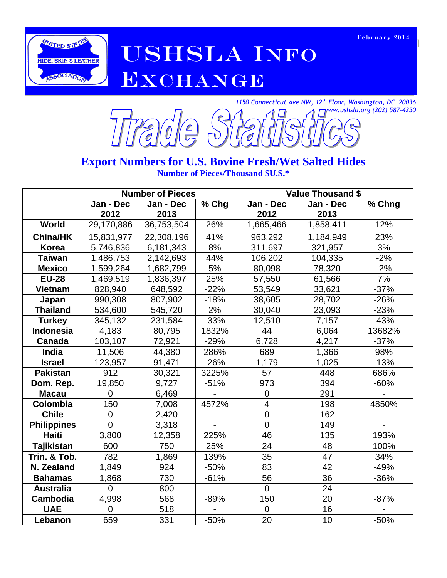

AMITED STATED STATED STATED STATED STATED STATED OF A LINE OF THE STATED THE STATED OF THE STATED OF THE STATED OF THE UPPER COMPUTER OF THE UPPER COMPUTER OF THE UPPER COMPUTER OF THE UPPER COMPUTER OF THE UPPER COMPUTER EXCHANGE



#### **Export Numbers for U.S. Bovine Fresh/Wet Salted Hides Number of Pieces/Thousand \$U.S.\***

|                    |                | <b>Number of Pieces</b> |        | <b>Value Thousand \$</b> |           |        |  |
|--------------------|----------------|-------------------------|--------|--------------------------|-----------|--------|--|
|                    | Jan - Dec      | Jan - Dec               | % Chg  | Jan - Dec<br>Jan - Dec   |           | % Chng |  |
|                    | 2012           | 2013                    |        | 2012                     | 2013      |        |  |
| <b>World</b>       | 29,170,886     | 36,753,504              | 26%    | 1,665,466                | 1,858,411 | 12%    |  |
| <b>China/HK</b>    | 15,831,977     | 22,308,196              | 41%    | 963,292                  | 1,184,949 | 23%    |  |
| <b>Korea</b>       | 5,746,836      | 6,181,343               | 8%     | 311,697                  | 321,957   | 3%     |  |
| <b>Taiwan</b>      | 1,486,753      | 2,142,693               | 44%    | 106,202                  | 104,335   | $-2%$  |  |
| <b>Mexico</b>      | 1,599,264      | 1,682,799               | 5%     | 80,098                   | 78,320    | $-2%$  |  |
| <b>EU-28</b>       | 1,469,519      | 1,836,397               | 25%    | 57,550                   | 61,566    | 7%     |  |
| <b>Vietnam</b>     | 828,940        | 648,592                 | $-22%$ | 53,549                   | 33,621    | $-37%$ |  |
| Japan              | 990,308        | 807,902                 | $-18%$ | 38,605                   | 28,702    | $-26%$ |  |
| <b>Thailand</b>    | 534,600        | 545,720                 | 2%     | 30,040                   | 23,093    | $-23%$ |  |
| <b>Turkey</b>      | 345,132        | 231,584                 | $-33%$ | 12,510                   | 7,157     | $-43%$ |  |
| Indonesia          | 4,183          | 80,795                  | 1832%  | 44                       | 6,064     | 13682% |  |
| Canada             | 103,107        | 72,921                  | $-29%$ | 6,728                    | 4,217     | $-37%$ |  |
| India              | 11,506         | 44,380                  | 286%   | 689                      | 1,366     | 98%    |  |
| <b>Israel</b>      | 123,957        | 91,471                  | $-26%$ | 1,179                    | 1,025     | $-13%$ |  |
| <b>Pakistan</b>    | 912            | 30,321                  | 3225%  | 57                       | 448       | 686%   |  |
| Dom. Rep.          | 19,850         | 9,727                   | $-51%$ | 973                      | 394       | $-60%$ |  |
| <b>Macau</b>       | $\Omega$       | 6,469                   |        | $\mathbf 0$              | 291       |        |  |
| Colombia           | 150            | 7,008                   | 4572%  | $\overline{4}$           | 198       | 4850%  |  |
| <b>Chile</b>       | 0              | 2,420                   |        | $\boldsymbol{0}$         | 162       |        |  |
| <b>Philippines</b> | $\overline{0}$ | 3,318                   |        | $\overline{0}$           | 149       |        |  |
| <b>Haiti</b>       | 3,800          | 12,358                  | 225%   | 46                       | 135       | 193%   |  |
| <b>Tajikistan</b>  | 600            | 750                     | 25%    | 24                       | 48        | 100%   |  |
| Trin. & Tob.       | 782            | 1,869                   | 139%   | 35                       | 47        | 34%    |  |
| N. Zealand         | 1,849          | 924                     | $-50%$ | 83                       | 42        | $-49%$ |  |
| <b>Bahamas</b>     | 1,868          | 730                     | $-61%$ | 56                       | 36        | $-36%$ |  |
| <b>Australia</b>   | $\overline{0}$ | 800                     |        | $\Omega$                 | 24        |        |  |
| <b>Cambodia</b>    | 4,998          | 568                     | $-89%$ | 150                      | 20        | $-87%$ |  |
| <b>UAE</b>         | $\Omega$       | 518                     |        | $\mathbf 0$              | 16        |        |  |
| Lebanon            | 659            | 331                     | $-50%$ | 20                       | 10        | $-50%$ |  |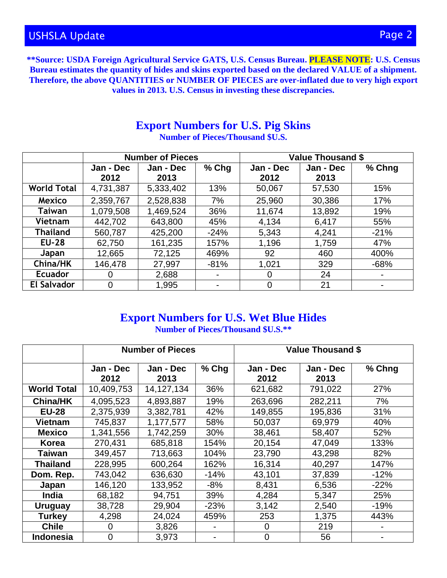**\*\*Source: USDA Foreign Agricultural Service GATS, U.S. Census Bureau. PLEASE NOTE: U.S. Census Bureau estimates the quantity of hides and skins exported based on the declared VALUE of a shipment. Therefore, the above QUANTITIES or NUMBER OF PIECES are over-inflated due to very high export values in 2013. U.S. Census in investing these discrepancies.** 

#### **Export Numbers for U.S. Pig Skins Number of Pieces/Thousand \$U.S.**

|                    | <b>Number of Pieces</b> |           |         | <b>Value Thousand \$</b> |           |        |  |
|--------------------|-------------------------|-----------|---------|--------------------------|-----------|--------|--|
|                    | Jan - Dec               | Jan - Dec | $%$ Chg | Jan - Dec                | Jan - Dec | % Chng |  |
|                    | 2012                    | 2013      |         | 2012                     | 2013      |        |  |
| <b>World Total</b> | 4,731,387               | 5,333,402 | 13%     | 50,067                   | 57,530    | 15%    |  |
| <b>Mexico</b>      | 2,359,767               | 2,528,838 | 7%      | 25,960                   | 30,386    | 17%    |  |
| Taiwan             | 1,079,508               | 1,469,524 | 36%     | 11,674                   | 13,892    | 19%    |  |
| Vietnam            | 442,702                 | 643,800   | 45%     | 4,134                    | 6,417     | 55%    |  |
| <b>Thailand</b>    | 560,787                 | 425,200   | $-24%$  | 5,343                    | 4,241     | $-21%$ |  |
| <b>EU-28</b>       | 62,750                  | 161,235   | 157%    | 1,196                    | 1,759     | 47%    |  |
| Japan              | 12,665                  | 72,125    | 469%    | 92                       | 460       | 400%   |  |
| China/HK           | 146,478                 | 27,997    | $-81%$  | 1,021                    | 329       | $-68%$ |  |
| <b>Ecuador</b>     | 0                       | 2,688     |         | 0                        | 24        |        |  |
| <b>El Salvador</b> | $\Omega$                | 1,995     |         | 0                        | 21        |        |  |

# **Export Numbers for U.S. Wet Blue Hides**

**Number of Pieces/Thousand \$U.S.\*\***

|                    | <b>Number of Pieces</b> |                   |        | <b>Value Thousand \$</b> |                   |        |  |
|--------------------|-------------------------|-------------------|--------|--------------------------|-------------------|--------|--|
|                    | Jan - Dec<br>2012       | Jan - Dec<br>2013 | % Chg  | Jan - Dec<br>2012        | Jan - Dec<br>2013 | % Chng |  |
| <b>World Total</b> | 10,409,753              | 14, 127, 134      | 36%    | 621,682                  | 791,022           | 27%    |  |
| <b>China/HK</b>    | 4,095,523               | 4,893,887         | 19%    | 263,696                  | 282,211           | 7%     |  |
| <b>EU-28</b>       | 2,375,939               | 3,382,781         | 42%    | 149,855                  | 195,836           | 31%    |  |
| <b>Vietnam</b>     | 745,837                 | 1,177,577         | 58%    | 50,037                   | 69,979            | 40%    |  |
| <b>Mexico</b>      | 1,341,556               | 1,742,259         | 30%    | 38,461                   | 58,407            | 52%    |  |
| Korea              | 270,431                 | 685,818           | 154%   | 20,154                   | 47,049            | 133%   |  |
| Taiwan             | 349,457                 | 713,663           | 104%   | 23,790                   | 43,298            | 82%    |  |
| Thailand           | 228,995                 | 600,264           | 162%   | 16,314                   | 40,297            | 147%   |  |
| Dom. Rep.          | 743,042                 | 636,630           | $-14%$ | 43,101                   | 37,839            | $-12%$ |  |
| Japan              | 146,120                 | 133,952           | $-8%$  | 8,431                    | 6,536             | $-22%$ |  |
| <b>India</b>       | 68,182                  | 94,751            | 39%    | 4,284                    | 5,347             | 25%    |  |
| <b>Uruguay</b>     | 38,728                  | 29,904            | $-23%$ | 3,142                    | 2,540             | $-19%$ |  |
| <b>Turkey</b>      | 4,298                   | 24,024            | 459%   | 253                      | 1,375             | 443%   |  |
| <b>Chile</b>       | 0                       | 3,826             |        | 0                        | 219               |        |  |
| <b>Indonesia</b>   | $\overline{0}$          | 3,973             |        | $\mathbf 0$              | 56                |        |  |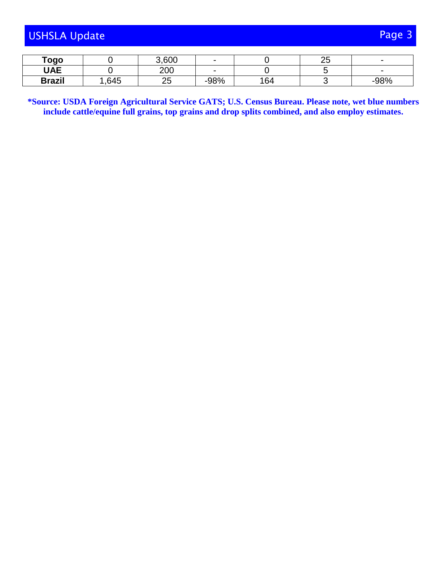| <b>USHSLA Update</b> | Page 3 |
|----------------------|--------|
|                      |        |

| Togo          |      | 3,600    |        |     | ∩E<br>∠◡ |        |
|---------------|------|----------|--------|-----|----------|--------|
| <b>UAE</b>    |      | 200      |        |     |          |        |
| <b>Brazil</b> | ,645 | ~~<br>∠◡ | $-98%$ | 164 |          | $-98%$ |

**\*Source: USDA Foreign Agricultural Service GATS; U.S. Census Bureau. Please note, wet blue numbers include cattle/equine full grains, top grains and drop splits combined, and also employ estimates.**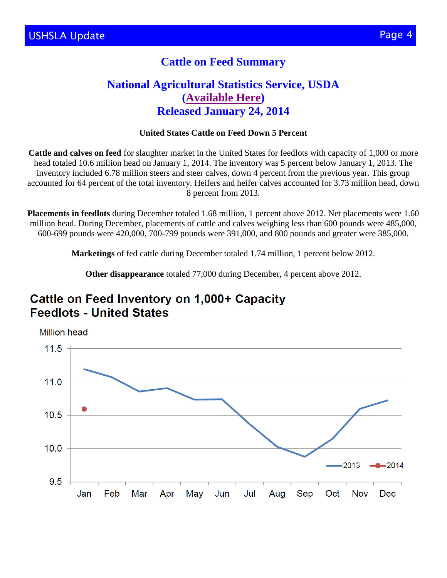#### **Cattle on Feed Summary**

#### **National Agricultural Statistics Service, USDA [\(Available Here\)](http://usda.mannlib.cornell.edu/MannUsda/viewDocumentInfo.do?documentID=1020) Released January 24, 2014**

#### **United States Cattle on Feed Down 5 Percent**

**Cattle and calves on feed** for slaughter market in the United States for feedlots with capacity of 1,000 or more head totaled 10.6 million head on January 1, 2014. The inventory was 5 percent below January 1, 2013. The inventory included 6.78 million steers and steer calves, down 4 percent from the previous year. This group accounted for 64 percent of the total inventory. Heifers and heifer calves accounted for 3.73 million head, down 8 percent from 2013.

**Placements in feedlots** during December totaled 1.68 million, 1 percent above 2012. Net placements were 1.60 million head. During December, placements of cattle and calves weighing less than 600 pounds were 485,000, 600-699 pounds were 420,000, 700-799 pounds were 391,000, and 800 pounds and greater were 385,000.

**Marketings** of fed cattle during December totaled 1.74 million, 1 percent below 2012.

**Other disappearance** totaled 77,000 during December, 4 percent above 2012.

## Cattle on Feed Inventory on 1,000+ Capacity **Feedlots - United States**

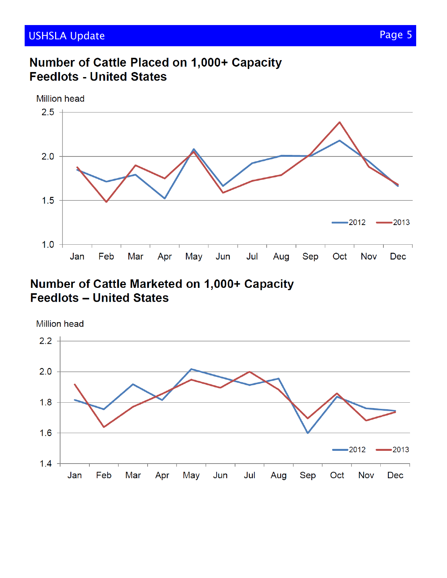# Number of Cattle Placed on 1,000+ Capacity **Feedlots - United States**



Number of Cattle Marketed on 1,000+ Capacity **Feedlots - United States** 

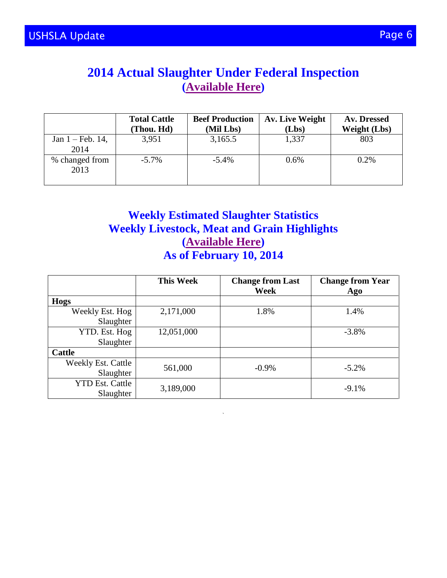## **2014 Actual Slaughter Under Federal Inspection [\(Available Here\)](http://www.ams.usda.gov/AMSv1.0/ams.fetchTemplateData.do?template=TemplateN&navID=MarketNewsAndTransportationData&leftNav=MarketNewsAndTransportationData&page=WeeklyBeefReports)**

|                                     | <b>Total Cattle</b><br>(Thou. Hd) | <b>Beef Production</b><br>(Mil Lbs) | Av. Live Weight<br>(Lbs) | Av. Dressed<br><b>Weight (Lbs)</b> |
|-------------------------------------|-----------------------------------|-------------------------------------|--------------------------|------------------------------------|
| Jan $1 - \text{Feb. } 14$ ,<br>2014 | 3,951                             | 3,165.5                             | 1,337                    | 803                                |
| % changed from<br>2013              | $-5.7\%$                          | $-5.4\%$                            | $0.6\%$                  | 0.2%                               |

#### **Weekly Estimated Slaughter Statistics Weekly Livestock, Meat and Grain Highlights [\(Available Here\)](http://www.ams.usda.gov/mnreports/lswlpgmrkthighlight.pdf) As of February 10, 2014**

|                                        | <b>This Week</b> | <b>Change from Last</b><br>Week | <b>Change from Year</b><br>Ago |
|----------------------------------------|------------------|---------------------------------|--------------------------------|
| Hogs                                   |                  |                                 |                                |
| Weekly Est. Hog<br>Slaughter           | 2,171,000        | 1.8%                            | 1.4%                           |
| YTD. Est. Hog<br>Slaughter             | 12,051,000       |                                 | $-3.8%$                        |
| <b>Cattle</b>                          |                  |                                 |                                |
| <b>Weekly Est. Cattle</b><br>Slaughter | 561,000          | $-0.9\%$                        | $-5.2\%$                       |
| <b>YTD Est. Cattle</b><br>Slaughter    | 3,189,000        |                                 | $-9.1%$                        |

**`**